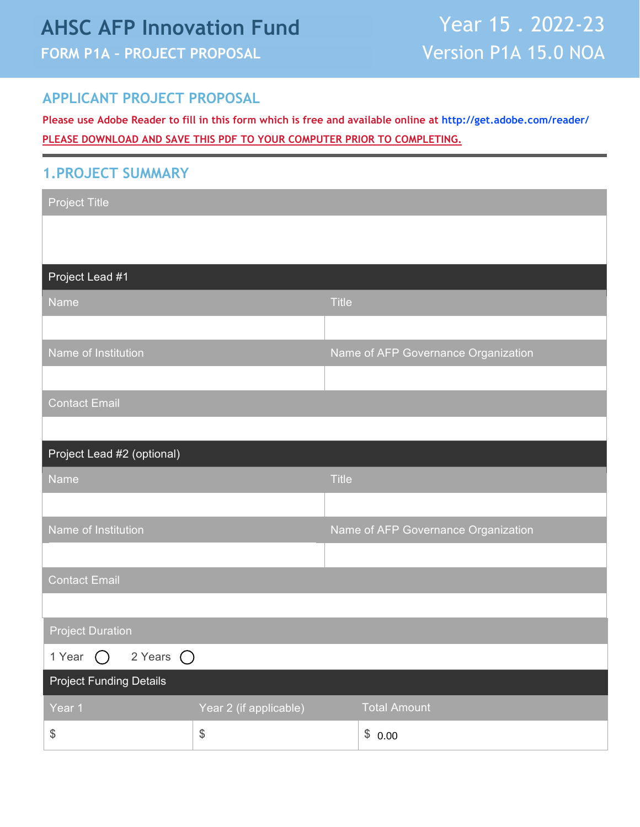# **AHSC AFP Innovation Fund FORM P1A – PROJECT PROPOSAL**

#### **APPLICANT PROJECT PROPOSAL**

**Please use Adobe Reader to fill in this form which is free and available online at [http://get.adobe.com/reader/](https://get.adobe.com/reader/) PLEASE DOWNLOAD AND SAVE THIS PDF TO YOUR COMPUTER PRIOR TO COMPLETING.**

#### **1.PROJECT SUMMARY**

| <b>Project Title</b>                         |                                           |              |                                     |
|----------------------------------------------|-------------------------------------------|--------------|-------------------------------------|
|                                              |                                           |              |                                     |
|                                              |                                           |              |                                     |
| Project Lead #1                              |                                           |              |                                     |
| Name                                         |                                           | <b>Title</b> |                                     |
|                                              |                                           |              |                                     |
| Name of Institution                          |                                           |              | Name of AFP Governance Organization |
|                                              |                                           |              |                                     |
| <b>Contact Email</b>                         |                                           |              |                                     |
|                                              |                                           |              |                                     |
| Project Lead #2 (optional)                   |                                           |              |                                     |
| Name                                         |                                           | <b>Title</b> |                                     |
|                                              |                                           |              |                                     |
| Name of Institution                          |                                           |              | Name of AFP Governance Organization |
|                                              |                                           |              |                                     |
| <b>Contact Email</b>                         |                                           |              |                                     |
|                                              |                                           |              |                                     |
| <b>Project Duration</b>                      |                                           |              |                                     |
| 1 Year $\bigcirc$ 2 Years $\bigcirc$         |                                           |              |                                     |
| <b>Project Funding Details</b>               |                                           |              |                                     |
| Year 1                                       | Year 2 (if applicable)                    |              | <b>Total Amount</b>                 |
| $\, \, \raisebox{12pt}{$\scriptstyle\circ$}$ | $\, \, \raisebox{12pt}{$\scriptstyle \$}$ |              | \$0.00                              |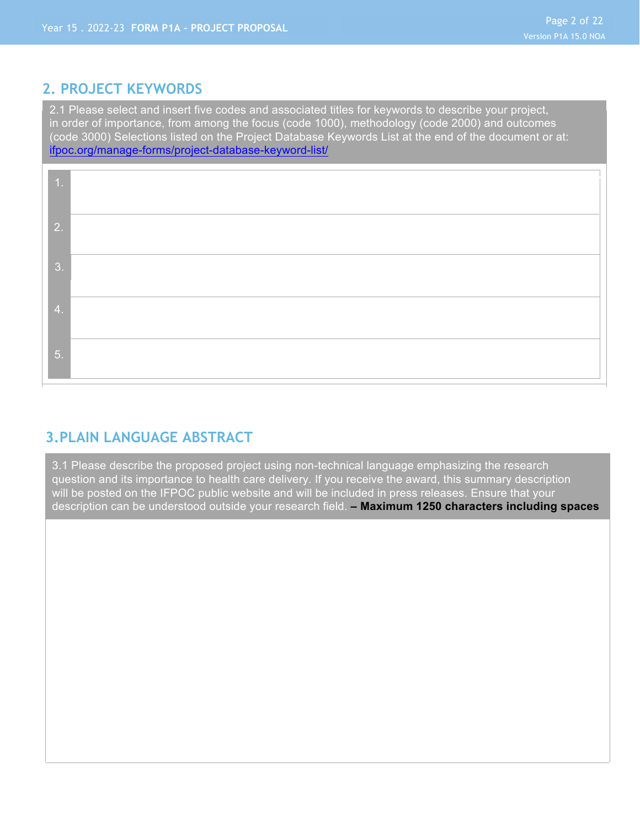#### **2. PROJECT KEYWORDS**

2.1 Please select and insert five codes and associated titles for keywords to describe your project, in order of importance, from among the focus (code 1000), methodology (code 2000) and outcomes (code 3000) Selections listed on the Project Database Keywords List at the end of the document or at: [ifpoc.org/manage-forms/project-database-keyword-list/](https://ifpoc.org/manage-forms/project-database-keyword-list/)

| $\mathbf{1}$ .   |  |
|------------------|--|
| 2.               |  |
|                  |  |
| 3.               |  |
| $\overline{4}$ . |  |
| 5.               |  |
|                  |  |

### **3.PLAIN LANGUAGE ABSTRACT**

3.1 Please describe the proposed project using non-technical language emphasizing the research question and its importance to health care delivery. If you receive the award, this summary description will be posted on the IFPOC public website and will be included in press releases. Ensure that your description can be understood outside your research field. **– Maximum 1250 characters including spaces**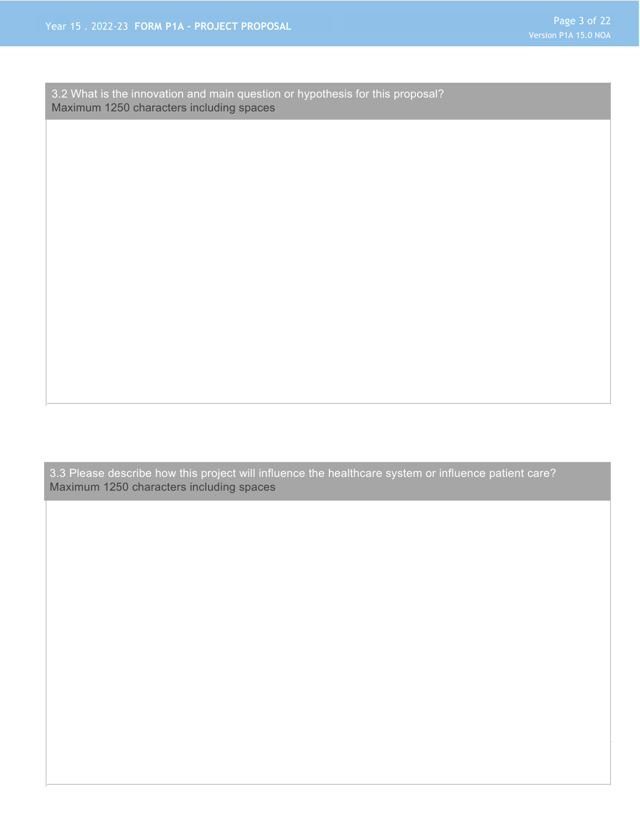3.2 What is the innovation and main question or hypothesis for this proposal? Maximum 1250 characters including spaces

3.3 Please describe how this project will influence the healthcare system or influence patient care? Maximum 1250 characters including spaces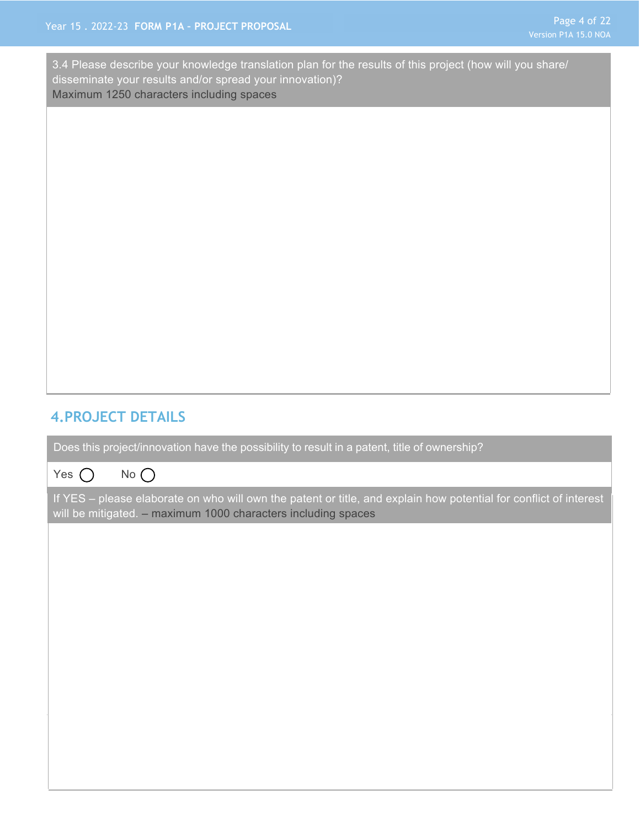3.4 Please describe your knowledge translation plan for the results of this project (how will you share/ disseminate your results and/or spread your innovation)? Maximum 1250 characters including spaces

### **4.PROJECT DETAILS**

Does this project/innovation have the possibility to result in a patent, title of ownership?

Yes  $\bigcap$  No  $\bigcap$ 

If YES – please elaborate on who will own the patent or title, and explain how potential for conflict of interest will be mitigated. – maximum 1000 characters including spaces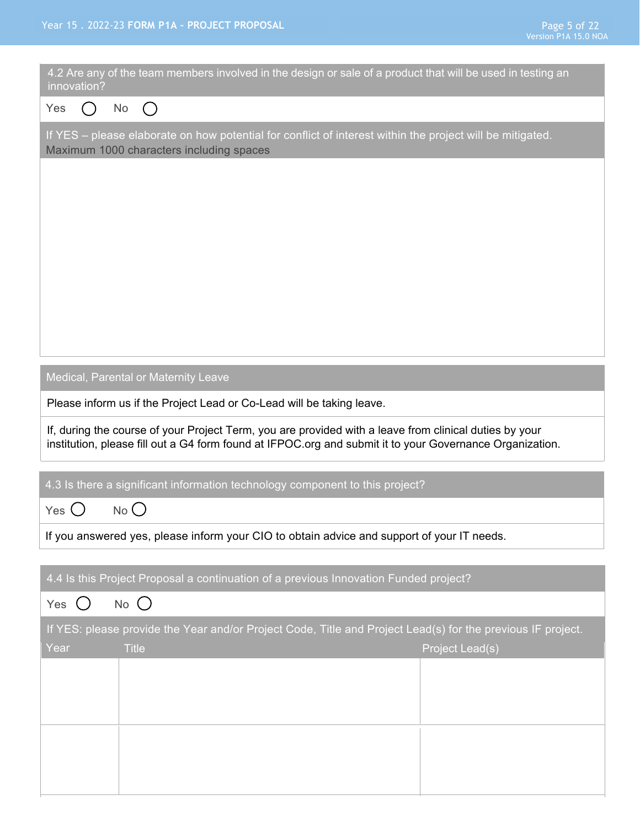| 4.2 Are any of the team members involved in the design or sale of a product that will be used in testing an<br>innovation?                                                                                         |  |
|--------------------------------------------------------------------------------------------------------------------------------------------------------------------------------------------------------------------|--|
| Yes<br>No $()$<br>( )                                                                                                                                                                                              |  |
| If YES - please elaborate on how potential for conflict of interest within the project will be mitigated.<br>Maximum 1000 characters including spaces                                                              |  |
|                                                                                                                                                                                                                    |  |
|                                                                                                                                                                                                                    |  |
|                                                                                                                                                                                                                    |  |
|                                                                                                                                                                                                                    |  |
|                                                                                                                                                                                                                    |  |
|                                                                                                                                                                                                                    |  |
|                                                                                                                                                                                                                    |  |
| Medical, Parental or Maternity Leave                                                                                                                                                                               |  |
| Please inform us if the Project Lead or Co-Lead will be taking leave.                                                                                                                                              |  |
| If, during the course of your Project Term, you are provided with a leave from clinical duties by your<br>institution, please fill out a G4 form found at IFPOC.org and submit it to your Governance Organization. |  |
| 4.3 Is there a significant information technology component to this project?                                                                                                                                       |  |
| $No$ $()$<br>Yes $\bigcup$                                                                                                                                                                                         |  |
| If you answered yes, please inform your CIO to obtain advice and support of your IT needs.                                                                                                                         |  |
| 4.4 Is this Project Proposal a continuation of a previous Innovation Funded project?                                                                                                                               |  |
| $No$ $()$<br>Yes $\bigcirc$                                                                                                                                                                                        |  |
| If YES: please provide the Year and/or Project Code, Title and Project Lead(s) for the previous IF project.                                                                                                        |  |
| Project Lead(s)<br>Year<br><b>Title</b>                                                                                                                                                                            |  |
|                                                                                                                                                                                                                    |  |
|                                                                                                                                                                                                                    |  |
|                                                                                                                                                                                                                    |  |
|                                                                                                                                                                                                                    |  |
|                                                                                                                                                                                                                    |  |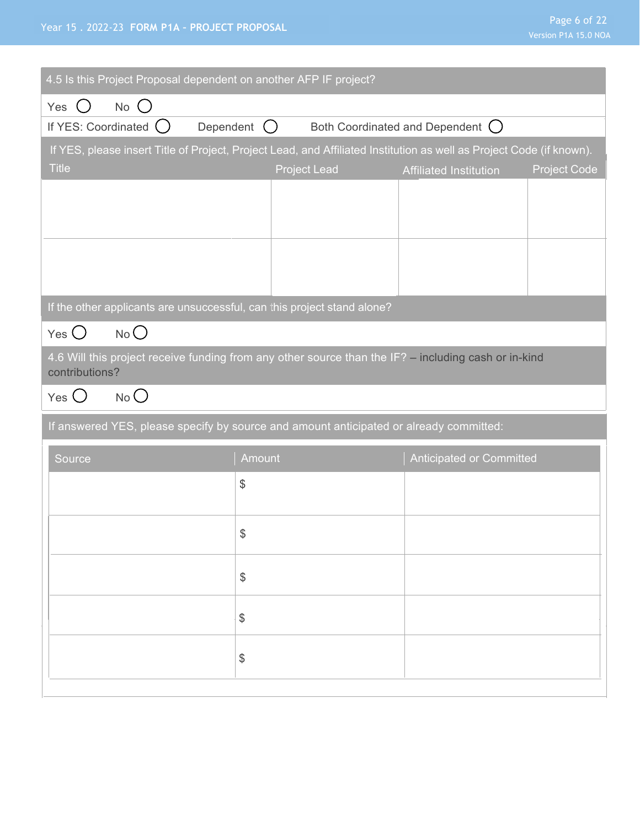#### Year 15 . 2022-23 **FORM P1A – PROJECT PROPOSAL**

|                      | Page 6 of 22 |  |  |
|----------------------|--------------|--|--|
| Version P1A 15.0 NOA |              |  |  |

| 4.5 Is this Project Proposal dependent on another AFP IF project?                                                                    |                     |                                   |                     |
|--------------------------------------------------------------------------------------------------------------------------------------|---------------------|-----------------------------------|---------------------|
| $No$ $()$<br>Yes<br>$\left( \begin{array}{c} \end{array} \right)$                                                                    |                     |                                   |                     |
| If YES: Coordinated ()                                                                                                               | Dependent ()        | Both Coordinated and Dependent () |                     |
| If YES, please insert Title of Project, Project Lead, and Affiliated Institution as well as Project Code (if known).<br><b>Title</b> | <b>Project Lead</b> | <b>Affiliated Institution</b>     | <b>Project Code</b> |
|                                                                                                                                      |                     |                                   |                     |
|                                                                                                                                      |                     |                                   |                     |
|                                                                                                                                      |                     |                                   |                     |
|                                                                                                                                      |                     |                                   |                     |
| If the other applicants are unsuccessful, can this project stand alone?                                                              |                     |                                   |                     |
| No<br>$Yes$ $\bigcirc$                                                                                                               |                     |                                   |                     |
| 4.6 Will this project receive funding from any other source than the IF? - including cash or in-kind<br>contributions?               |                     |                                   |                     |
|                                                                                                                                      |                     |                                   |                     |
| $No$ $O$<br>Yes $\bigcirc$                                                                                                           |                     |                                   |                     |
| If answered YES, please specify by source and amount anticipated or already committed:                                               |                     |                                   |                     |
| Source                                                                                                                               | Amount              | <b>Anticipated or Committed</b>   |                     |
|                                                                                                                                      | \$                  |                                   |                     |
|                                                                                                                                      |                     |                                   |                     |
|                                                                                                                                      | \$                  |                                   |                     |
|                                                                                                                                      | \$                  |                                   |                     |
|                                                                                                                                      |                     |                                   |                     |
|                                                                                                                                      | $\frac{1}{2}$       |                                   |                     |
|                                                                                                                                      | $\$\$               |                                   |                     |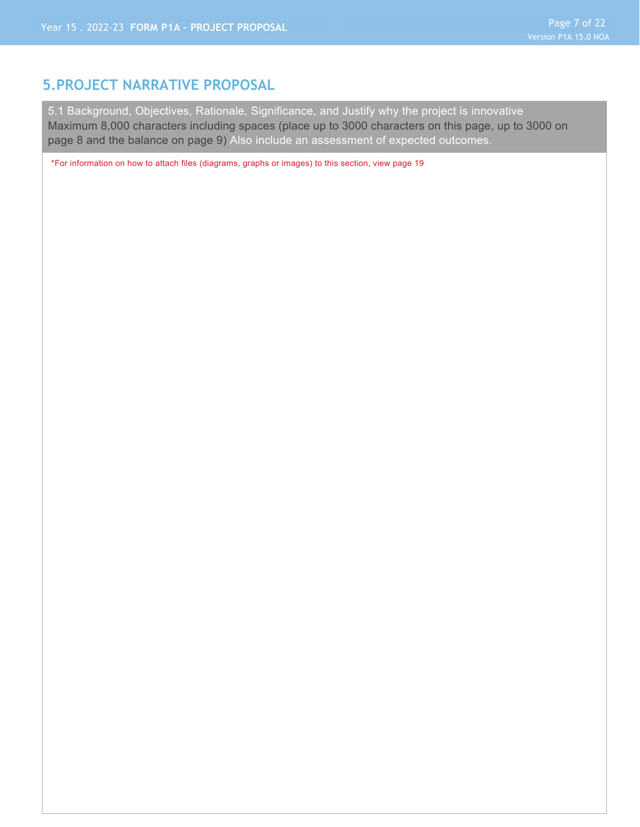#### **5.PROJECT NARRATIVE PROPOSAL**

5.1 Background, Objectives, Rationale, Significance, and Justify why the project is innovative Maximum 8,000 characters including spaces (place up to 3000 characters on this page, up to 3000 on page 8 and the balance on page 9) Also include an assessment of expected outcomes.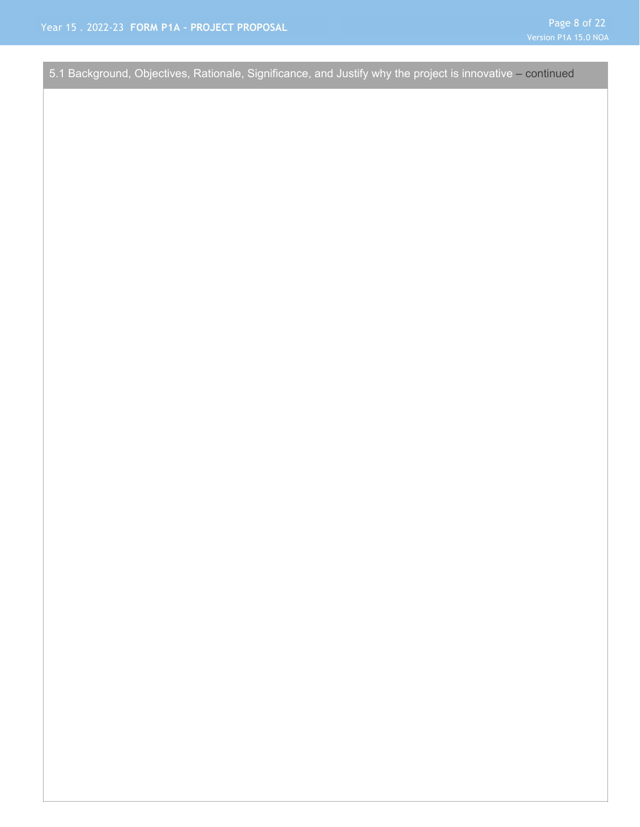5.1 Background, Objectives, Rationale, Significance, and Justify why the project is innovative – continued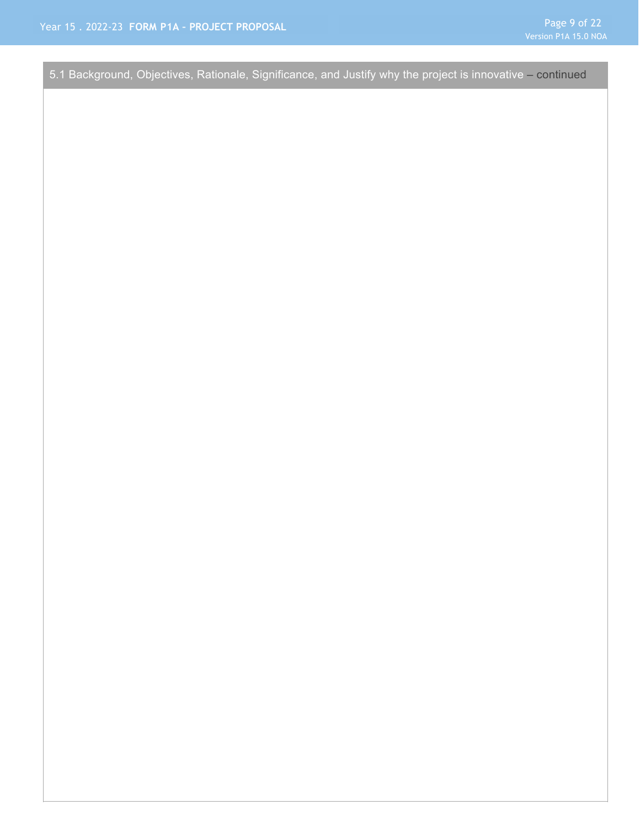5.1 Background, Objectives, Rationale, Significance, and Justify why the project is innovative – continued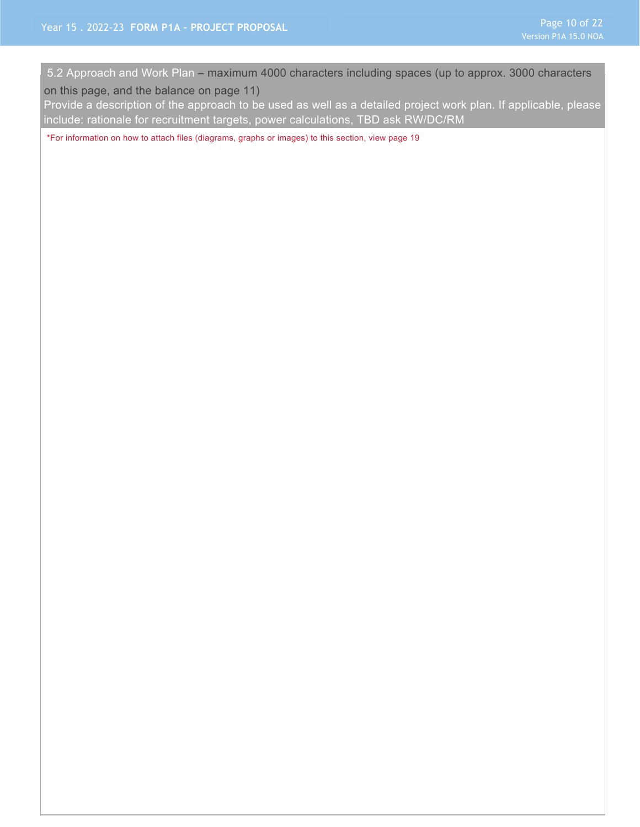5.2 Approach and Work Plan – maximum 4000 characters including spaces (up to approx. 3000 characters

on this page, and the balance on page 11)

Provide a description of the approach to be used as well as a detailed project work plan. If applicable, please include: rationale for recruitment targets, power calculations, TBD ask RW/DC/RM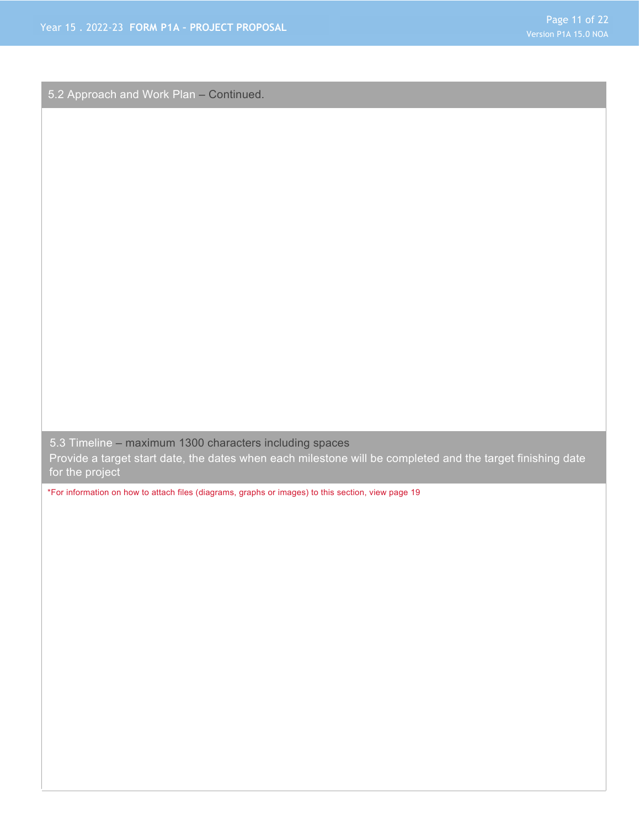5.2 Approach and Work Plan – Continued.

5.3 Timeline – maximum 1300 characters including spaces

Provide a target start date, the dates when each milestone will be completed and the target finishing date for the project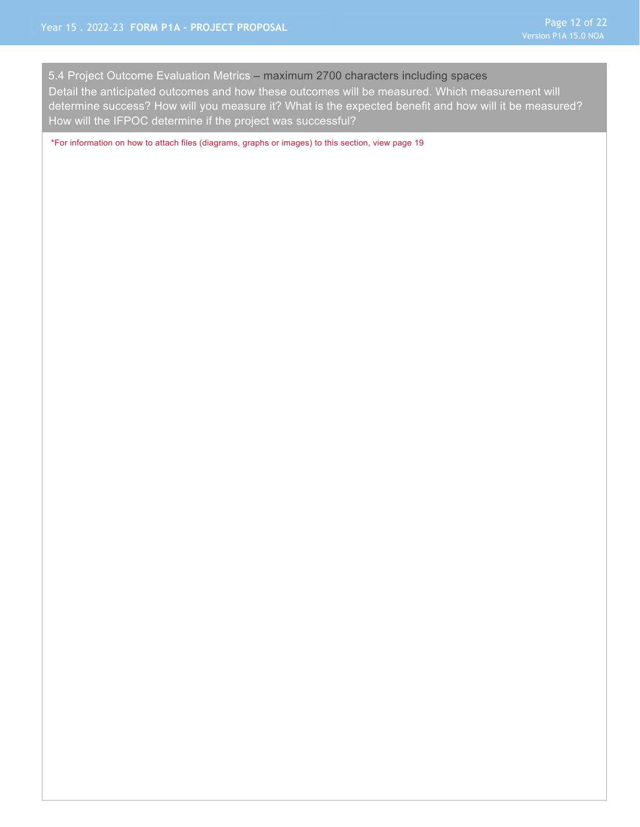5.4 Project Outcome Evaluation Metrics – maximum 2700 characters including spaces Detail the anticipated outcomes and how these outcomes will be measured. Which measurement will determine success? How will you measure it? What is the expected benefit and how will it be measured? How will the IFPOC determine if the project was successful?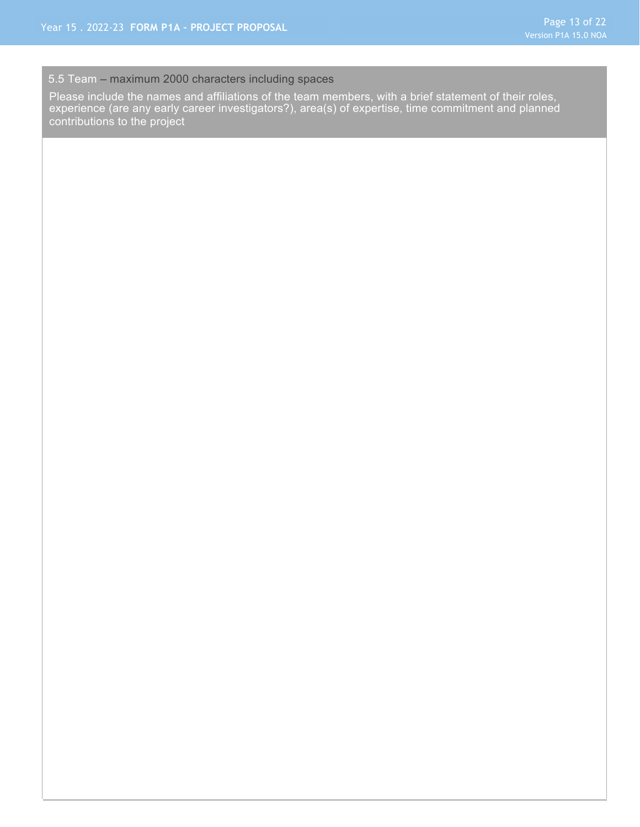#### 5.5 Team – maximum 2000 characters including spaces

Please include the names and affiliations of the team members, with a brief statement of their roles, experience (are any early career investigators?), area(s) of expertise, time commitment and planned contributions to the project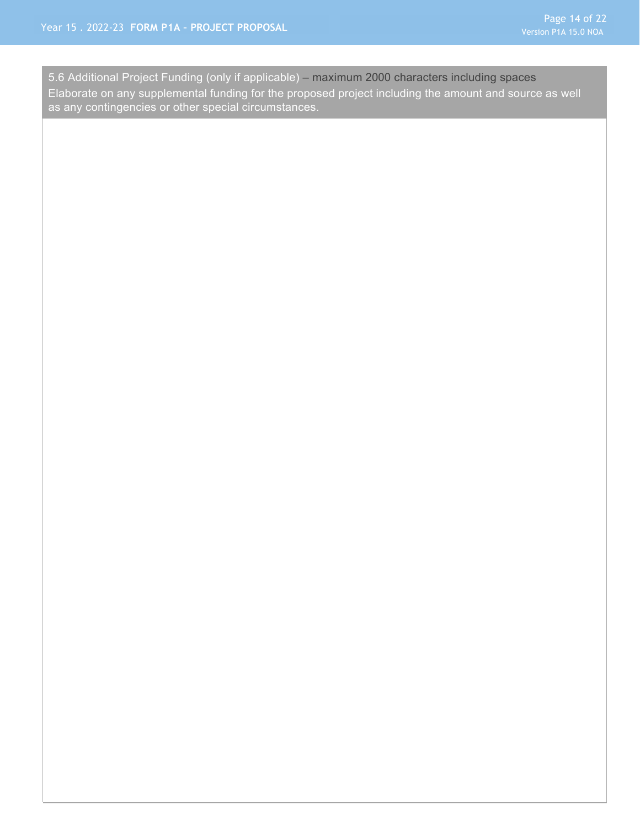as any contingencies or other special circumstances. 5.6 Additional Project Funding (only if applicable) – maximum 2000 characters including spaces Elaborate on any supplemental funding for the proposed project including the amount and source as well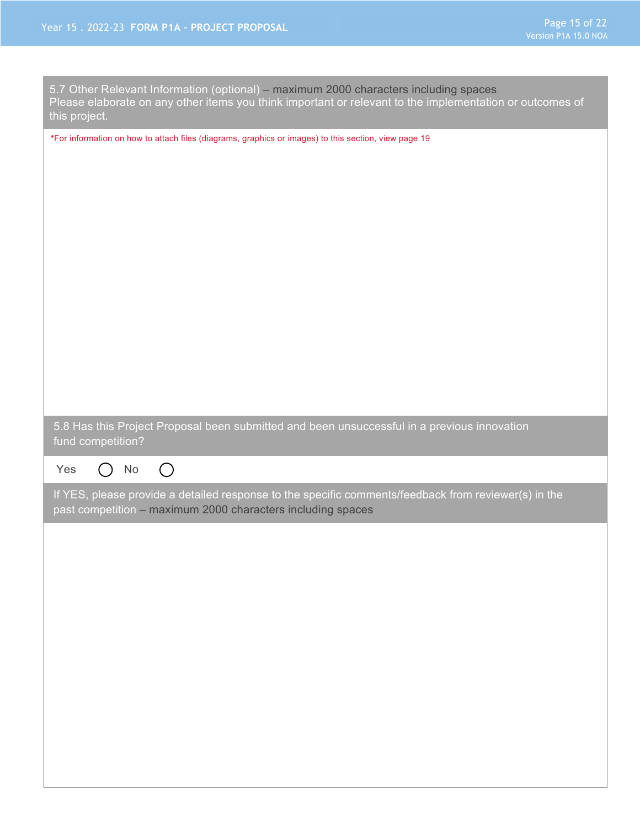| 5.7 Other Relevant Information (optional) – maximum 2000 characters including spaces<br>Please elaborate on any other items you think important or relevant to the implementation or outcomes of<br>this project. |
|-------------------------------------------------------------------------------------------------------------------------------------------------------------------------------------------------------------------|
| *For information on how to attach files (diagrams, graphics or images) to this section, view page 19                                                                                                              |
| 5.8 Has this Project Proposal been submitted and been unsuccessful in a previous innovation<br>fund competition?                                                                                                  |
| $\bigcirc$<br>$\operatorname{\mathsf{No}}$<br>Yes<br>$\Box$                                                                                                                                                       |
| If YES, please provide a detailed response to the specific comments/feedback from reviewer(s) in the<br>past competition - maximum 2000 characters including spaces                                               |
|                                                                                                                                                                                                                   |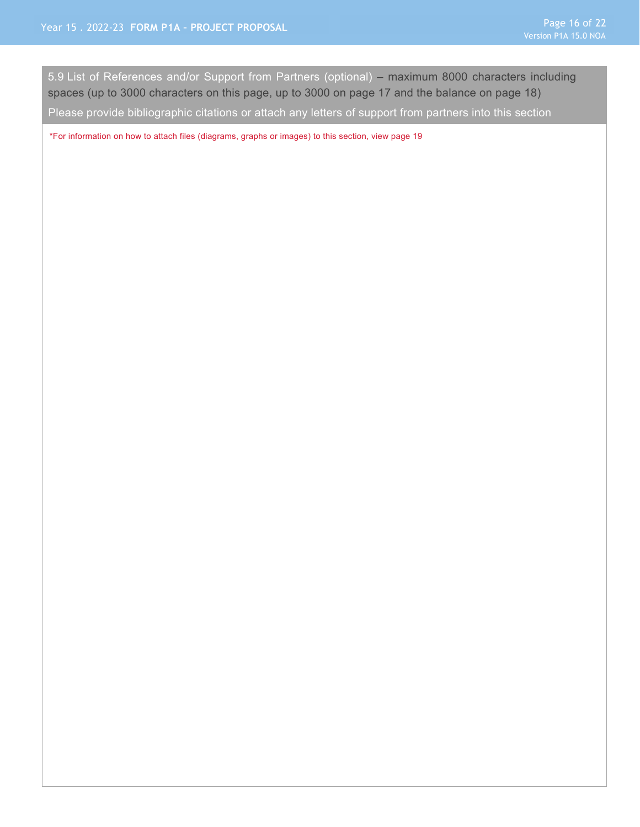5.9 List of References and/or Support from Partners (optional) – maximum 8000 characters including spaces (up to 3000 characters on this page, up to 3000 on page 17 and the balance on page 18)

Please provide bibliographic citations or attach any letters of support from partners into this section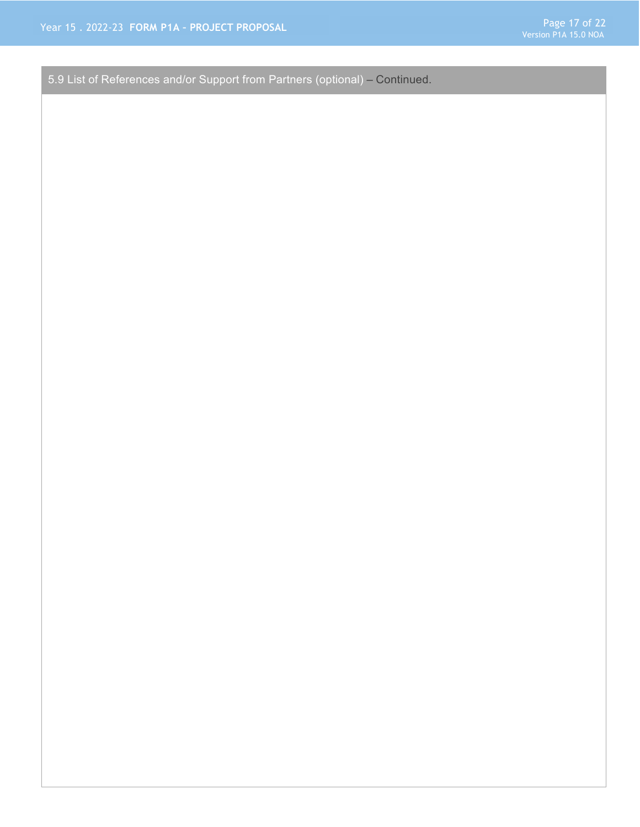5.9 List of References and/or Support from Partners (optional) – Continued.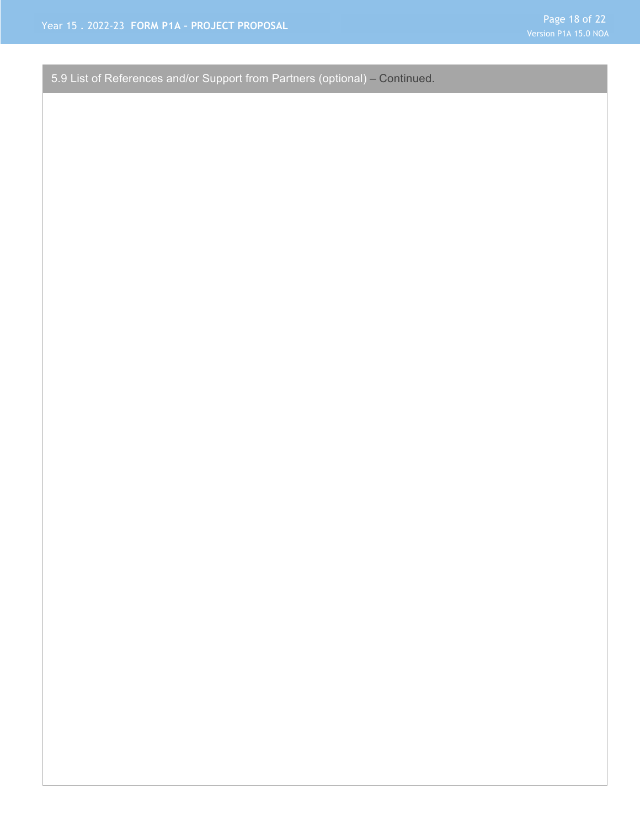5.9 List of References and/or Support from Partners (optional) – Continued.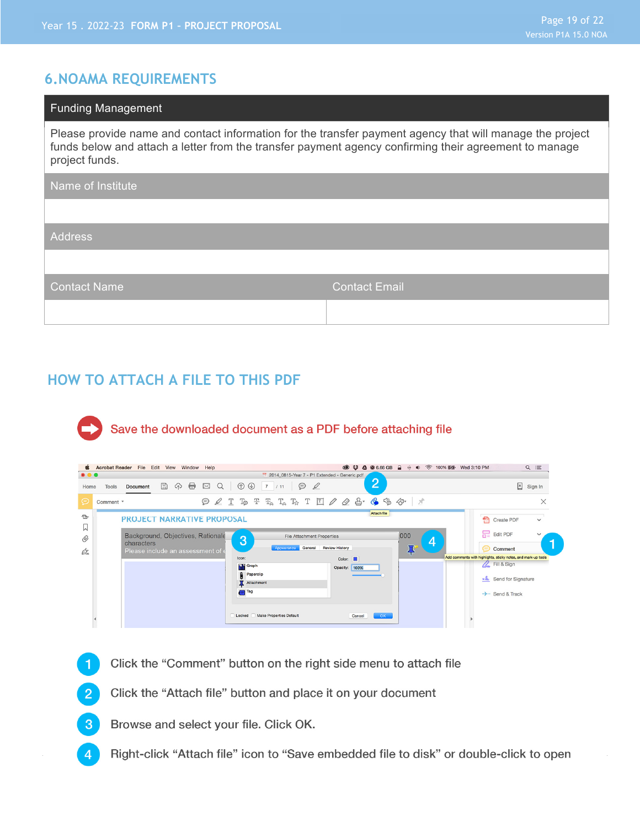#### **6.NOAMA REQUIREMENTS**

| <b>Funding Management</b>                                                                                                                                                                                                           |                      |
|-------------------------------------------------------------------------------------------------------------------------------------------------------------------------------------------------------------------------------------|----------------------|
| Please provide name and contact information for the transfer payment agency that will manage the project<br>funds below and attach a letter from the transfer payment agency confirming their agreement to manage<br>project funds. |                      |
| Name of Institute                                                                                                                                                                                                                   |                      |
|                                                                                                                                                                                                                                     |                      |
| <b>Address</b>                                                                                                                                                                                                                      |                      |
|                                                                                                                                                                                                                                     |                      |
| <b>Contact Name</b>                                                                                                                                                                                                                 | <b>Contact Email</b> |
|                                                                                                                                                                                                                                     |                      |

#### **HOW TO ATTACH A FILE TO THIS PDF**

# Save the downloaded document as a PDF before attaching file

|                         | <b>S</b> Acrobat Reader File Edit View Window Help                                      |                                                                                                                                                                                                                                                                                                                                                                                                         | $\circledcirc$ $\circledcirc$ $\bullet$ $\bullet$ 6.66 GB<br>+ (+) < 100% <a> [22]<br/>• Wed 3:10 PM<br/><math>\hat{=}</math></a> | $Q \equiv$                                                                                                                                      |
|-------------------------|-----------------------------------------------------------------------------------------|---------------------------------------------------------------------------------------------------------------------------------------------------------------------------------------------------------------------------------------------------------------------------------------------------------------------------------------------------------------------------------------------------------|-----------------------------------------------------------------------------------------------------------------------------------|-------------------------------------------------------------------------------------------------------------------------------------------------|
| $\bullet\bullet\bullet$ |                                                                                         | 2014_0815-Year 7 - P1 Extended - Generic.pdf                                                                                                                                                                                                                                                                                                                                                            |                                                                                                                                   |                                                                                                                                                 |
| Home                    | 8<br>$\bigoplus$<br>$\boxtimes$<br>$\mathbb{B}$<br>Q<br><b>Tools</b><br><b>Document</b> | $\circledcirc$<br>$\odot$<br>$\mathscr Q$<br>$7 \quad 11$                                                                                                                                                                                                                                                                                                                                               | $\overline{2}$                                                                                                                    | $\mathbb{R}$ Sign In                                                                                                                            |
| ⊝                       | Comment *                                                                               | $\text{P} \& \text{T} \& \text{T} \& \text{T} \& \text{T} \& \text{T} \& \text{T} \& \text{P} \& \text{P} \& \text{P} \& \text{P} \& \text{P} \& \text{P} \& \text{P} \& \text{P} \& \text{P} \& \text{P} \& \text{P} \& \text{P} \& \text{P} \& \text{P} \& \text{P} \& \text{P} \& \text{P} \& \text{P} \& \text{P} \& \text{P} \& \text{P} \& \text{P} \& \text{P} \& \text{P} \& \text{P} \& \text$ |                                                                                                                                   | X                                                                                                                                               |
| $\triangle$<br>W        | <b>PROJECT NARRATIVE PROPOSAL</b>                                                       |                                                                                                                                                                                                                                                                                                                                                                                                         | Attach file                                                                                                                       | ÷<br>Create PDF<br>$\check{~}$                                                                                                                  |
| $^{\mathscr{O}}$<br>Ó.  | Background, Objectives, Rationale<br>characters<br>Please include an assessment of      | <b>File Attachment Properties</b><br>3<br><b>Review History</b><br>General<br>Appearance<br>Icon:<br><b>Hill</b> Graph<br>Paperclip<br>Attachment                                                                                                                                                                                                                                                       | ,000<br>4<br>⇔<br>Color:<br>Opacity: 100%                                                                                         | Edit PDF<br>$\checkmark$<br>Comment<br>Add comments with highlights, sticky notes, and mark-up tools<br>A. Fill & Sign<br>xl Send for Signature |
|                         |                                                                                         | $\bigoplus$ Tag<br>Make Properties Default<br>Locked                                                                                                                                                                                                                                                                                                                                                    | OK<br>Cancel                                                                                                                      | $\rightarrow$ - Send & Track                                                                                                                    |

- Click the "Comment" button on the right side menu to attach file
- Click the "Attach file" button and place it on your document  $\overline{2}$
- Browse and select your file. Click OK.  $\mathbf{3}$
- Right-click "Attach file" icon to "Save embedded file to disk" or double-click to open  $\overline{4}$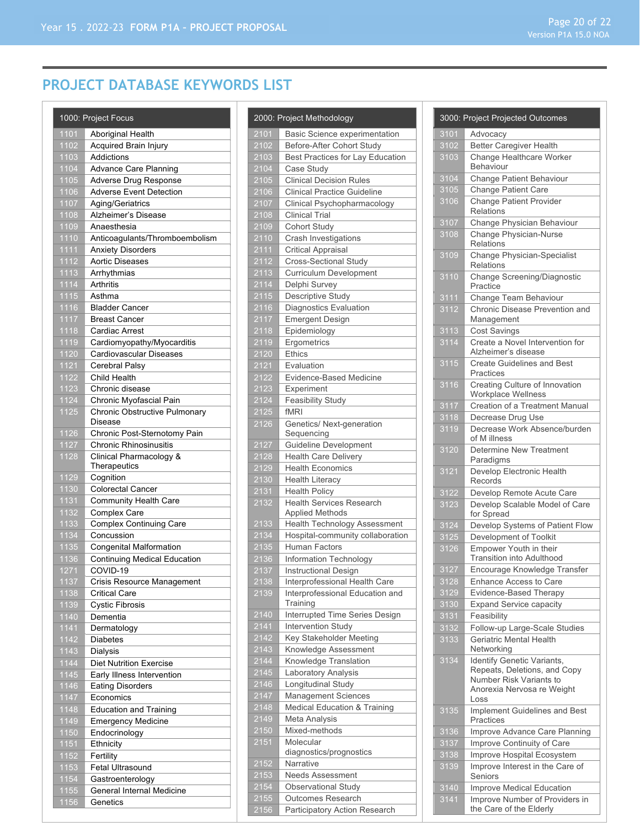# **PROJECT DATABASE KEYWORDS LIST**

|              | 1000: Project Focus                       |
|--------------|-------------------------------------------|
| 1101         | Aboriginal Health                         |
| 1102         | Acquired Brain Injury                     |
| 1103         | <b>Addictions</b>                         |
| 1104         | Advance Care Planning                     |
| 1105         | Adverse Drug Response                     |
| 1106         | <b>Adverse Event Detection</b>            |
| 1107         | Aging/Geriatrics                          |
| 1108         | Alzheimer's Disease                       |
| 1109         | Anaesthesia                               |
| 1110         | Anticoagulants/Thromboembolism            |
| 1111         | <b>Anxiety Disorders</b>                  |
| 1112         | <b>Aortic Diseases</b>                    |
| 1113         | Arrhythmias                               |
| 1114         | Arthritis                                 |
| 1115         | Asthma                                    |
| 1116         | <b>Bladder Cancer</b>                     |
| 1117         | <b>Breast Cancer</b>                      |
| 1118         | Cardiac Arrest                            |
| 1119         | Cardiomyopathy/Myocarditis                |
| 1120         | Cardiovascular Diseases<br>Cerebral Palsy |
| 1121<br>1122 | Child Health                              |
| 1123         | Chronic disease                           |
| 1124         | Chronic Myofascial Pain                   |
| 1125         | Chronic Obstructive Pulmonary             |
|              | Disease                                   |
| 1126         | Chronic Post-Sternotomy Pain              |
| 1127         | <b>Chronic Rhinosinusitis</b>             |
| 1128         | Clinical Pharmacology &                   |
|              | Therapeutics                              |
| 1129         | Cognition                                 |
| 1130         | <b>Colorectal Cancer</b>                  |
| 1131         | Community Health Care                     |
| 1132         | Complex Care                              |
| 1133<br>1134 | Complex Continuing Care<br>Concussion     |
| 1135         | <b>Congenital Malformation</b>            |
| 1136         | <b>Continuing Medical Education</b>       |
| 1271         | COVID-19                                  |
| 1137         | Crisis Resource Management                |
| 1138         | <b>Critical Care</b>                      |
| 1139         | <b>Cystic Fibrosis</b>                    |
| 1140         | Dementia                                  |
| 1141         | Dermatology                               |
| 1142         | Diabetes                                  |
| 1143         | Dialysis                                  |
| 1144         | <b>Diet Nutrition Exercise</b>            |
| 1145         | Early Illness Intervention                |
| 1146         | <b>Eating Disorders</b>                   |
| 1147         | Economics                                 |
| 1148         | Education and Training                    |
| 1149         | <b>Emergency Medicine</b>                 |
| 1150         | Endocrinology                             |
| 1151         | Ethnicity                                 |
| 1152         | Fertility                                 |
| 1153         | Fetal Ultrasound                          |
| 1154         | Gastroenterology                          |
| 1155         | General Internal Medicine                 |
| 1156         | Genetics                                  |

|                   | 2000: Project Methodology                                 |
|-------------------|-----------------------------------------------------------|
| 2101              | Basic Science experimentation                             |
| 2102              | Before-After Cohort Study                                 |
| 2103              | Best Practices for Lay Education                          |
| $\overline{2104}$ | Case Study                                                |
| 2105              | <b>Clinical Decision Rules</b>                            |
| 2106              | <b>Clinical Practice Guideline</b>                        |
| 2107              | Clinical Psychopharmacology                               |
| 2108              | <b>Clinical Trial</b>                                     |
| 2109              | Cohort Study                                              |
| 2110              | Crash Investigations                                      |
| 2111              | <b>Critical Appraisal</b>                                 |
| 2112              | Cross-Sectional Study                                     |
| 2113              | Curriculum Development                                    |
| 2114              | Delphi Survey                                             |
| 2115              | Descriptive Study                                         |
| 2116              | Diagnostics Evaluation                                    |
| 2117              | <b>Emergent Design</b>                                    |
| 2118              | Epidemiology                                              |
| 2119<br>2120      | Ergometrics<br><b>Ethics</b>                              |
| 2121              | Evaluation                                                |
| 2122              | Evidence-Based Medicine                                   |
| 2123              | Experiment                                                |
| 2124              | <b>Feasibility Study</b>                                  |
| $\sqrt{2125}$     | fMRI                                                      |
| 2126              | Genetics/ Next-generation                                 |
|                   | Sequencing                                                |
| 2127              | Guideline Development                                     |
| 2128              | <b>Health Care Delivery</b>                               |
| 2129              | <b>Health Economics</b>                                   |
| 2130              | <b>Health Literacy</b>                                    |
| 2131              | <b>Health Policy</b>                                      |
| 2132              | <b>Health Services Research</b><br><b>Applied Methods</b> |
| 2133              | Health Technology Assessment                              |
| 2134              | Hospital-community collaboration                          |
| 2135              | Human Factors                                             |
| 2136              | Information Technology                                    |
| 2137              | <b>Instructional Design</b>                               |
| 2138              | Interprofessional Health Care                             |
| 2139              | Interprofessional Education and                           |
|                   | Training                                                  |
| 2140              | Interrupted Time Series Design                            |
| 2141              | <b>Intervention Study</b>                                 |
| $\frac{2142}{2}$  | Key Stakeholder Meeting                                   |
| 2143<br>2144      | Knowledge Assessment<br>Knowledge Translation             |
| 2145              | Laboratory Analysis                                       |
| $\frac{2146}{ }$  | Longitudinal Study                                        |
| 2147              | Management Sciences                                       |
| 2148              | Medical Education & Training                              |
| 2149              | Meta Analysis                                             |
| 2150              | Mixed-methods                                             |
| 2151              | Molecular                                                 |
|                   | diagnostics/prognostics                                   |
| 2152              | Narrative                                                 |
| 2153              | Needs Assessment                                          |
| 2154              | Observational Study                                       |
| 2155              | Outcomes Research                                         |
| 2156              | Participatory Action Research                             |

|                  | 3000: Project Projected Outcomes                                                                                            |
|------------------|-----------------------------------------------------------------------------------------------------------------------------|
| 3101             | Advocacy                                                                                                                    |
| 3102             | <b>Better Caregiver Health</b>                                                                                              |
| 3103             | Change Healthcare Worker<br><b>Behaviour</b>                                                                                |
| 3104             | <b>Change Patient Behaviour</b>                                                                                             |
| 3105             | <b>Change Patient Care</b>                                                                                                  |
| 3106             | <b>Change Patient Provider</b><br><b>Relations</b>                                                                          |
| 3107             | Change Physician Behaviour                                                                                                  |
| 3108             | Change Physician-Nurse<br><b>Relations</b>                                                                                  |
| 3109             | Change Physician-Specialist<br>Relations                                                                                    |
| 3110             | Change Screening/Diagnostic<br>Practice                                                                                     |
| 3111             | Change Team Behaviour                                                                                                       |
| 3112             | Chronic Disease Prevention and<br>Management                                                                                |
| 3113             | Cost Savings                                                                                                                |
| 3114             | Create a Novel Intervention for<br>Alzheimer's disease                                                                      |
| 3115             | <b>Create Guidelines and Best</b><br>Practices                                                                              |
| 3116             | Creating Culture of Innovation<br>Workplace Wellness                                                                        |
| 3117             | Creation of a Treatment Manual                                                                                              |
| 3118             | Decrease Drug Use                                                                                                           |
| 3119             | Decrease Work Absence/burden<br>of M illness                                                                                |
| 3120             | Determine New Treatment<br>Paradigms                                                                                        |
| 3121             | Develop Electronic Health<br>Records                                                                                        |
| 3122             | Develop Remote Acute Care                                                                                                   |
| 3123             | Develop Scalable Model of Care<br>for Spread                                                                                |
| 3124             | Develop Systems of Patient Flow                                                                                             |
| $\frac{1}{3125}$ | Development of Toolkit                                                                                                      |
| 3126             | Empower Youth in their<br><b>Transition into Adulthood</b>                                                                  |
| 3127             | Encourage Knowledge Transfer                                                                                                |
| 3128             | <b>Enhance Access to Care</b>                                                                                               |
| 3129             | Evidence-Based Therapy                                                                                                      |
| 3130             | <b>Expand Service capacity</b>                                                                                              |
| 3131             | Feasibility                                                                                                                 |
| 3132             | Follow-up Large-Scale Studies                                                                                               |
| 3133             | Geriatric Mental Health<br>Networking                                                                                       |
| 3134             | Identify Genetic Variants,<br>Repeats, Deletions, and Copy<br>Number Risk Variants to<br>Anorexia Nervosa re Weight<br>Loss |
| 3135             | Implement Guidelines and Best<br>Practices                                                                                  |
| 3136             | Improve Advance Care Planning                                                                                               |
| 3137             | Improve Continuity of Care                                                                                                  |
| 3138             | Improve Hospital Ecosystem                                                                                                  |
| 3139             | Improve Interest in the Care of<br>Seniors                                                                                  |
| 3140             | Improve Medical Education                                                                                                   |
| 3141             | Improve Number of Providers in<br>the Care of the Elderly                                                                   |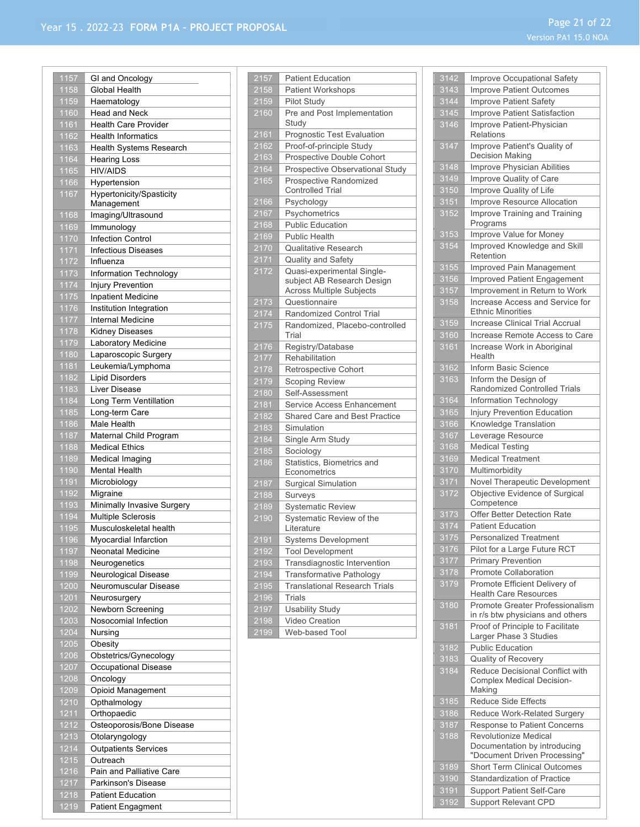| 1157         | GI and Oncology                                      |
|--------------|------------------------------------------------------|
| 1158         | Global Health                                        |
| 1159         | Haematology                                          |
| 1160         | <b>Head and Neck</b>                                 |
|              | <b>Health Care Provider</b>                          |
| 1161         |                                                      |
| 1162         | <b>Health Informatics</b>                            |
| 1163         | <b>Health Systems Research</b>                       |
| 1164         | <b>Hearing Loss</b>                                  |
| 1165         | <b>HIV/AIDS</b>                                      |
| 1166         | Hypertension                                         |
| 1167         | Hypertonicity/Spasticity                             |
|              | Management                                           |
| 1168         |                                                      |
|              | Imaging/Ultrasound                                   |
| 1169         | Immunology                                           |
| 1170         | <b>Infection Control</b>                             |
| 1171         | <b>Infectious Diseases</b>                           |
| 1172         | Influenza                                            |
| 1173         | Information Technology                               |
| 1174         | Injury Prevention                                    |
|              |                                                      |
| 1175         | <b>Inpatient Medicine</b>                            |
| 1176         | Institution Integration                              |
| 1177         | <b>Internal Medicine</b>                             |
| 1178         | <b>Kidney Diseases</b>                               |
| 1179         | Laboratory Medicine                                  |
| 1180         | Laparoscopic Surgery                                 |
| 1181         | Leukemia/Lymphoma                                    |
| 1182         | <b>Lipid Disorders</b>                               |
| 1183         | Liver Disease                                        |
|              |                                                      |
| 1184         | Long Term Ventillation                               |
| 1185         | Long-term Care                                       |
| 1186         | Male Health                                          |
| 1187         | Maternal Child Program                               |
|              |                                                      |
| 1188         | <b>Medical Ethics</b>                                |
|              |                                                      |
| 1189         | Medical Imaging                                      |
| 1190         | <b>Mental Health</b>                                 |
| 1191         | Microbiology                                         |
| 1192         | Migraine                                             |
| 1193         | Minimally Invasive Surgery                           |
| 1194         | Multiple Sclerosis                                   |
| 1195         | Musculoskeletal health                               |
| <u> 1196</u> | Myocardial Infarction                                |
| 1197         | <b>Neonatal Medicine</b>                             |
| 1198         | Neurogenetics                                        |
|              |                                                      |
| 1199         | Neurological Disease                                 |
| 1200         | Neuromuscular Disease                                |
| 1201         | Neurosurgery                                         |
| 1202         | Newborn Screening                                    |
| 1203         | Nosocomial Infection                                 |
| 1204         | Nursing                                              |
| 1205         | Obesity                                              |
| 1206         | Obstetrics/Gynecology                                |
| 1207         | Occupational Disease                                 |
|              |                                                      |
| 1208         | Oncology                                             |
| 1209         | Opioid Management                                    |
| 1210         | Opthalmology                                         |
| 1211         | Orthopaedic                                          |
| 1212         | Osteoporosis/Bone Disease                            |
| 1213         | Otolaryngology                                       |
| 1214         | <b>Outpatients Services</b>                          |
| 1215         | Outreach                                             |
| 1216         | Pain and Palliative Care                             |
|              |                                                      |
| 1217         | Parkinson's Disease                                  |
| 1218<br>1219 | <b>Patient Education</b><br><b>Patient Engagment</b> |

| $21\overline{57}$<br>2158 | <b>Patient Education</b>                                 |
|---------------------------|----------------------------------------------------------|
|                           | <b>Patient Workshops</b>                                 |
| 2159<br>2160              | <b>Pilot Study</b><br>Pre and Post Implementation        |
|                           | Study                                                    |
| 2161                      | Prognostic Test Evaluation                               |
| 2162                      | Proof-of-principle Study                                 |
| 2163                      | Prospective Double Cohort                                |
| 2164                      | Prospective Observational Study                          |
| 2165                      | Prospective Randomized<br><b>Controlled Trial</b>        |
| 2166                      | Psychology                                               |
| 2167                      | Psychometrics                                            |
| 2168                      | <b>Public Education</b>                                  |
| 2169                      | <b>Public Health</b>                                     |
| 2170                      | <b>Qualitative Research</b>                              |
| 2171                      | Quality and Safety                                       |
| 2172                      | Quasi-experimental Single-<br>subject AB Research Design |
|                           | <b>Across Multiple Subjects</b>                          |
| 2173                      | Questionnaire                                            |
| $\frac{1}{2}$ 174         | Randomized Control Trial                                 |
| 2175                      | Randomized, Placebo-controlled<br>Trial                  |
| 2176                      | Registry/Database                                        |
| 2177                      | Rehabilitation                                           |
| 2178                      | <b>Retrospective Cohort</b>                              |
| $\frac{1}{2179}$          | Scoping Review                                           |
| 2180                      | Self-Assessment                                          |
| 2181                      | Service Access Enhancement                               |
| 2182                      | Shared Care and Best Practice                            |
| 2183                      | Simulation                                               |
| 2184                      | Single Arm Study                                         |
| 2185                      | Sociology                                                |
| 2186                      | Statistics, Biometrics and                               |
|                           | Econometrics<br><b>Surgical Simulation</b>               |
| 2187<br>2188              | Surveys                                                  |
| 2189                      | <b>Systematic Review</b>                                 |
| 2190                      | Systematic Review of the                                 |
|                           | Literature                                               |
| 2191                      | Systems Development                                      |
| 2192                      | <b>Tool Development</b>                                  |
| 2193                      | Transdiagnostic Intervention                             |
| 2194                      | Transformative Pathology                                 |
| 2195                      | <b>Translational Research Trials</b>                     |
| 2196                      | <b>Trials</b>                                            |
| 2197                      | <b>Usability Study</b>                                   |
| 2198                      | <b>Video Creation</b>                                    |
| 2199                      | Web-based Tool                                           |
|                           |                                                          |

| 3142             | Improve Occupational Safety                                         |  |
|------------------|---------------------------------------------------------------------|--|
| 3143             | <b>Improve Patient Outcomes</b>                                     |  |
| 3144             | Improve Patient Safety                                              |  |
| 3145             | Improve Patient Satisfaction                                        |  |
| 3146             | Improve Patient-Physician<br>Relations                              |  |
| 3147             | Improve Patient's Quality of<br>Decision Making                     |  |
| 3148             | Improve Physician Abilities                                         |  |
| 3149             | Improve Quality of Care                                             |  |
| 3150             | Improve Quality of Life                                             |  |
| 3151             | Improve Resource Allocation                                         |  |
| 3152             | Improve Training and Training<br>Programs                           |  |
| 3153             | Improve Value for Money                                             |  |
| 3154             | Improved Knowledge and Skill<br>Retention                           |  |
| 3155             | Improved Pain Management                                            |  |
| 3156             | Improved Patient Engagement                                         |  |
| 3157             | Improvement in Return to Work                                       |  |
| 3158             | Increase Access and Service for<br><b>Ethnic Minorities</b>         |  |
| 3159             | <b>Increase Clinical Trial Accrual</b>                              |  |
| 3160             | Increase Remote Access to Care                                      |  |
| 3161             | Increase Work in Aboriginal<br>Health                               |  |
| 3162             | Inform Basic Science                                                |  |
| 3163             | Inform the Design of<br>Randomized Controlled Trials                |  |
| 3164             | <b>Information Technology</b>                                       |  |
| 3165             | Injury Prevention Education                                         |  |
| 3166             | Knowledge Translation                                               |  |
| 3167             | Leverage Resource                                                   |  |
| 3168             | <b>Medical Testing</b>                                              |  |
| 3169             | <b>Medical Treatment</b>                                            |  |
| 3170             | Multimorbidity                                                      |  |
|                  |                                                                     |  |
| 3171             | Novel Therapeutic Development                                       |  |
| 3172             | Objective Evidence of Surgical<br>Competence                        |  |
| 3173             | Offer Better Detection Rate                                         |  |
| 3174             | <b>Patient Education</b>                                            |  |
| 3175             | <b>Personalized Treatment</b>                                       |  |
| 3176             | Pilot for a Large Future RCT                                        |  |
| 3177             | <b>Primary Prevention</b>                                           |  |
| 3178             | Promote Collaboration                                               |  |
| 3179             | Promote Efficient Delivery of<br><b>Health Care Resources</b>       |  |
| 3180             | Promote Greater Professionalism<br>in r/s btw physicians and others |  |
| 3181             | Proof of Principle to Facilitate<br>Larger Phase 3 Studies          |  |
| 3182             | <b>Public Education</b>                                             |  |
| $\frac{1}{3183}$ | Quality of Recovery                                                 |  |
| 3184             | Reduce Decisional Conflict with<br><b>Complex Medical Decision-</b> |  |
|                  | Making                                                              |  |
| 3185             | <b>Reduce Side Effects</b>                                          |  |
| 3186             | Reduce Work-Related Surgery                                         |  |
| 3187             | Response to Patient Concerns                                        |  |
| 3188             | <b>Revolutionize Medical</b>                                        |  |
|                  | Documentation by introducing<br>"Document Driven Processing"        |  |
| 3189             | <b>Short Term Clinical Outcomes</b>                                 |  |
| 3190             | <b>Standardization of Practice</b>                                  |  |
| 3191             | <b>Support Patient Self-Care</b>                                    |  |